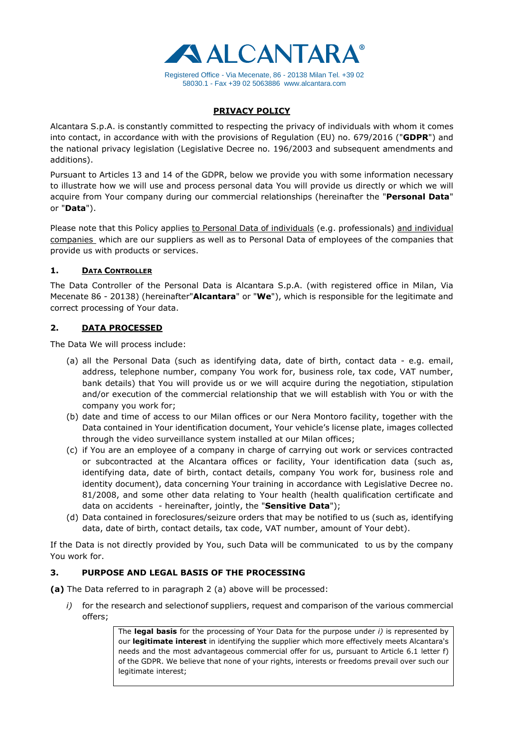

## **PRIVACY POLICY**

Alcantara S.p.A. is constantly committed to respecting the privacy of individuals with whom it comes into contact, in accordance with with the provisions of Regulation (EU) no. 679/2016 ("**GDPR**") and the national privacy legislation (Legislative Decree no. 196/2003 and subsequent amendments and additions).

Pursuant to Articles 13 and 14 of the GDPR, below we provide you with some information necessary to illustrate how we will use and process personal data You will provide us directly or which we will acquire from Your company during our commercial relationships (hereinafter the "**Personal Data**" or "**Data**").

Please note that this Policy applies to Personal Data of individuals (e.g. professionals) and individual companies which are our suppliers as well as to Personal Data of employees of the companies that provide us with products or services.

## **1. DATA CONTROLLER**

The Data Controller of the Personal Data is Alcantara S.p.A. (with registered office in Milan, Via Mecenate 86 - 20138) (hereinafter"**Alcantara**" or "**We**"), which is responsible for the legitimate and correct processing of Your data.

# **2. DATA PROCESSED**

The Data We will process include:

- (a) all the Personal Data (such as identifying data, date of birth, contact data e.g. email, address, telephone number, company You work for, business role, tax code, VAT number, bank details) that You will provide us or we will acquire during the negotiation, stipulation and/or execution of the commercial relationship that we will establish with You or with the company you work for;
- (b) date and time of access to our Milan offices or our Nera Montoro facility, together with the Data contained in Your identification document, Your vehicle's license plate, images collected through the video surveillance system installed at our Milan offices;
- (c) if You are an employee of a company in charge of carrying out work or services contracted or subcontracted at the Alcantara offices or facility, Your identification data (such as, identifying data, date of birth, contact details, company You work for, business role and identity document), data concerning Your training in accordance with Legislative Decree no. 81/2008, and some other data relating to Your health (health qualification certificate and data on accidents - hereinafter, jointly, the "**Sensitive Data**");
- (d) Data contained in foreclosures/seizure orders that may be notified to us (such as, identifying data, date of birth, contact details, tax code, VAT number, amount of Your debt).

If the Data is not directly provided by You, such Data will be communicated to us by the company You work for.

# **3. PURPOSE AND LEGAL BASIS OF THE PROCESSING**

**(a)** The Data referred to in paragraph 2 (a) above will be processed:

*i*) for the research and selectionof suppliers, request and comparison of the various commercial offers;

> The **legal basis** for the processing of Your Data for the purpose under *i)* is represented by our **legitimate interest** in identifying the supplier which more effectively meets Alcantara's needs and the most advantageous commercial offer for us, pursuant to Article 6.1 letter f) of the GDPR. We believe that none of your rights, interests or freedoms prevail over such our legitimate interest;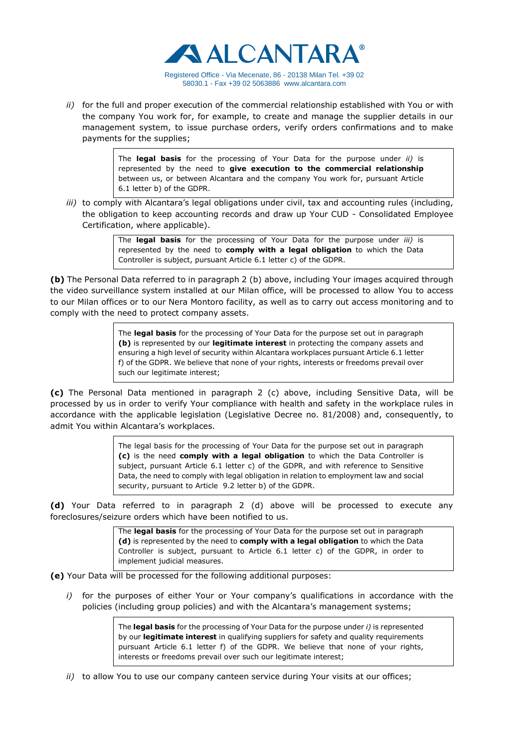

*ii)* for the full and proper execution of the commercial relationship established with You or with the company You work for, for example, to create and manage the supplier details in our management system, to issue purchase orders, verify orders confirmations and to make payments for the supplies;

> The **legal basis** for the processing of Your Data for the purpose under *ii)* is represented by the need to **give execution to the commercial relationship** between us, or between Alcantara and the company You work for, pursuant Article 6.1 letter b) of the GDPR.

*iii*) to comply with Alcantara's legal obligations under civil, tax and accounting rules (including, the obligation to keep accounting records and draw up Your CUD - Consolidated Employee Certification, where applicable).

> The **legal basis** for the processing of Your Data for the purpose under *iii)* is represented by the need to **comply with a legal obligation** to which the Data Controller is subject, pursuant Article 6.1 letter c) of the GDPR.

**(b)** The Personal Data referred to in paragraph 2 (b) above, including Your images acquired through the video surveillance system installed at our Milan office, will be processed to allow You to access to our Milan offices or to our Nera Montoro facility, as well as to carry out access monitoring and to comply with the need to protect company assets.

> The **legal basis** for the processing of Your Data for the purpose set out in paragraph **(b)** is represented by our **legitimate interest** in protecting the company assets and ensuring a high level of security within Alcantara workplaces pursuant Article 6.1 letter f) of the GDPR. We believe that none of your rights, interests or freedoms prevail over such our legitimate interest;

**(c)** The Personal Data mentioned in paragraph 2 (c) above, including Sensitive Data, will be processed by us in order to verify Your compliance with health and safety in the workplace rules in accordance with the applicable legislation (Legislative Decree no. 81/2008) and, consequently, to admit You within Alcantara's workplaces.

> The legal basis for the processing of Your Data for the purpose set out in paragraph **(c)** is the need **comply with a legal obligation** to which the Data Controller is subject, pursuant Article 6.1 letter c) of the GDPR, and with reference to Sensitive Data, the need to comply with legal obligation in relation to employment law and social security, pursuant to Article 9.2 letter b) of the GDPR.

**(d)** Your Data referred to in paragraph 2 (d) above will be processed to execute any foreclosures/seizure orders which have been notified to us.

> The **legal basis** for the processing of Your Data for the purpose set out in paragraph **(d)** is represented by the need to **comply with a legal obligation** to which the Data Controller is subject, pursuant to Article 6.1 letter c) of the GDPR, in order to implement judicial measures.

**(e)** Your Data will be processed for the following additional purposes:

*i*) for the purposes of either Your or Your company's qualifications in accordance with the policies (including group policies) and with the Alcantara's management systems;

> The **legal basis** for the processing of Your Data for the purpose under *i)* is represented by our **legitimate interest** in qualifying suppliers for safety and quality requirements pursuant Article 6.1 letter f) of the GDPR. We believe that none of your rights, interests or freedoms prevail over such our legitimate interest;

*ii)* to allow You to use our company canteen service during Your visits at our offices;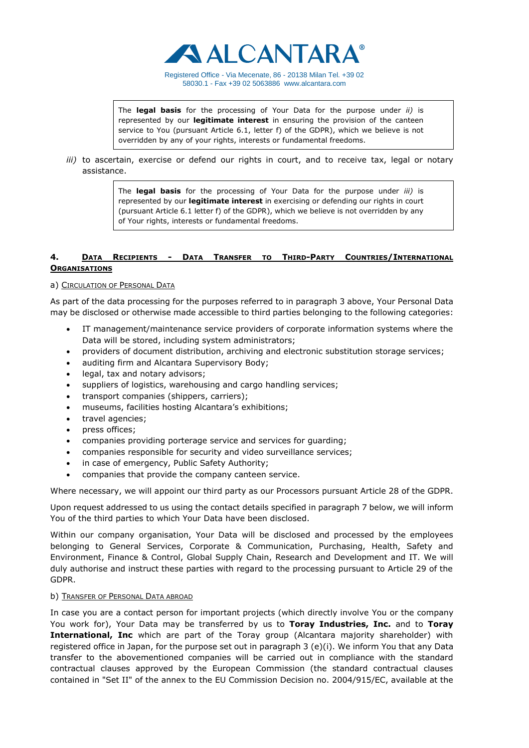

Registered Office - Via Mecenate, 86 - 20138 Milan Tel. +39 02 58030.1 - Fax +39 02 506388[6 www.alcantara.com](http://www.alcantara.com/)

The **legal basis** for the processing of Your Data for the purpose under *ii)* is represented by our **legitimate interest** in ensuring the provision of the canteen service to You (pursuant Article 6.1, letter f) of the GDPR), which we believe is not overridden by any of your rights, interests or fundamental freedoms.

*iii)* to ascertain, exercise or defend our rights in court, and to receive tax, legal or notary assistance.

> The **legal basis** for the processing of Your Data for the purpose under *iii)* is represented by our **legitimate interest** in exercising or defending our rights in court (pursuant Article 6.1 letter f) of the GDPR), which we believe is not overridden by any of Your rights, interests or fundamental freedoms.

### **4. DATA RECIPIENTS - DATA TRANSFER TO THIRD-PARTY COUNTRIES/INTERNATIONAL ORGANISATIONS**

#### a) CIRCULATION OF PERSONAL DATA

As part of the data processing for the purposes referred to in paragraph 3 above, Your Personal Data may be disclosed or otherwise made accessible to third parties belonging to the following categories:

- IT management/maintenance service providers of corporate information systems where the Data will be stored, including system administrators;
- providers of document distribution, archiving and electronic substitution storage services;
- auditing firm and Alcantara Supervisory Body;
- legal, tax and notary advisors;
- suppliers of logistics, warehousing and cargo handling services;
- transport companies (shippers, carriers);
- museums, facilities hosting Alcantara's exhibitions;
- travel agencies;
- press offices;
- companies providing porterage service and services for guarding;
- companies responsible for security and video surveillance services;
- in case of emergency, Public Safety Authority;
- companies that provide the company canteen service.

Where necessary, we will appoint our third party as our Processors pursuant Article 28 of the GDPR.

Upon request addressed to us using the contact details specified in paragraph 7 below, we will inform You of the third parties to which Your Data have been disclosed.

Within our company organisation, Your Data will be disclosed and processed by the employees belonging to General Services, Corporate & Communication, Purchasing, Health, Safety and Environment, Finance & Control, Global Supply Chain, Research and Development and IT. We will duly authorise and instruct these parties with regard to the processing pursuant to Article 29 of the GDPR.

#### b) TRANSFER OF PERSONAL DATA ABROAD

In case you are a contact person for important projects (which directly involve You or the company You work for), Your Data may be transferred by us to **Toray Industries, Inc.** and to **Toray International, Inc** which are part of the Toray group (Alcantara majority shareholder) with registered office in Japan, for the purpose set out in paragraph 3 (e)(i). We inform You that any Data transfer to the abovementioned companies will be carried out in compliance with the standard contractual clauses approved by the European Commission (the standard contractual clauses contained in "Set II" of the annex to the EU Commission Decision no. 2004/915/EC, available at the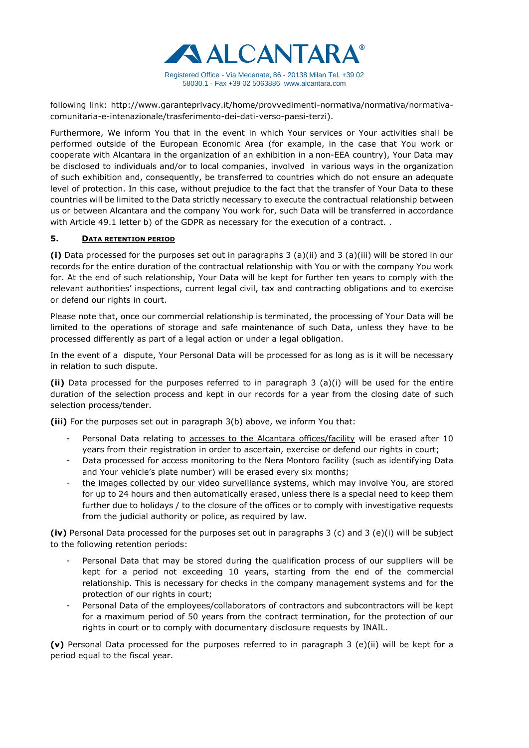

following link: http://www.garanteprivacy.it/home/provvedimenti-normativa/normativa/normativacomunitaria-e-intenazionale/trasferimento-dei-dati-verso-paesi-terzi).

Furthermore, We inform You that in the event in which Your services or Your activities shall be performed outside of the European Economic Area (for example, in the case that You work or cooperate with Alcantara in the organization of an exhibition in a non-EEA country), Your Data may be disclosed to individuals and/or to local companies, involved in various ways in the organization of such exhibition and, consequently, be transferred to countries which do not ensure an adequate level of protection. In this case, without prejudice to the fact that the transfer of Your Data to these countries will be limited to the Data strictly necessary to execute the contractual relationship between us or between Alcantara and the company You work for, such Data will be transferred in accordance with Article 49.1 letter b) of the GDPR as necessary for the execution of a contract..

## **5. DATA RETENTION PERIOD**

**(i)** Data processed for the purposes set out in paragraphs 3 (a)(ii) and 3 (a)(iii) will be stored in our records for the entire duration of the contractual relationship with You or with the company You work for. At the end of such relationship, Your Data will be kept for further ten years to comply with the relevant authorities' inspections, current legal civil, tax and contracting obligations and to exercise or defend our rights in court.

Please note that, once our commercial relationship is terminated, the processing of Your Data will be limited to the operations of storage and safe maintenance of such Data, unless they have to be processed differently as part of a legal action or under a legal obligation.

In the event of a dispute, Your Personal Data will be processed for as long as is it will be necessary in relation to such dispute.

**(ii)** Data processed for the purposes referred to in paragraph 3 (a)(i) will be used for the entire duration of the selection process and kept in our records for a year from the closing date of such selection process/tender.

**(iii)** For the purposes set out in paragraph 3(b) above, we inform You that:

- Personal Data relating to accesses to the Alcantara offices/facility will be erased after 10 years from their registration in order to ascertain, exercise or defend our rights in court;
- Data processed for access monitoring to the Nera Montoro facility (such as identifying Data and Your vehicle's plate number) will be erased every six months;
- the images collected by our video surveillance systems, which may involve You, are stored for up to 24 hours and then automatically erased, unless there is a special need to keep them further due to holidays / to the closure of the offices or to comply with investigative requests from the judicial authority or police, as required by law.

**(iv)** Personal Data processed for the purposes set out in paragraphs 3 (c) and 3 (e)(i) will be subject to the following retention periods:

- Personal Data that may be stored during the qualification process of our suppliers will be kept for a period not exceeding 10 years, starting from the end of the commercial relationship. This is necessary for checks in the company management systems and for the protection of our rights in court;
- Personal Data of the employees/collaborators of contractors and subcontractors will be kept for a maximum period of 50 years from the contract termination, for the protection of our rights in court or to comply with documentary disclosure requests by INAIL.

**(v)** Personal Data processed for the purposes referred to in paragraph 3 (e)(ii) will be kept for a period equal to the fiscal year.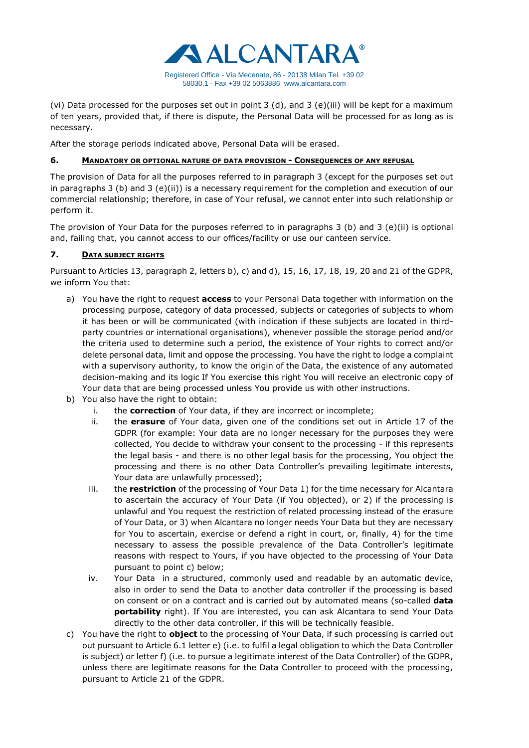

(vi) Data processed for the purposes set out in  $point 3$  (d), and  $3$  (e)(iii) will be kept for a maximum of ten years, provided that, if there is dispute, the Personal Data will be processed for as long as is necessary.

After the storage periods indicated above, Personal Data will be erased.

# **6. MANDATORY OR OPTIONAL NATURE OF DATA PROVISION - CONSEQUENCES OF ANY REFUSAL**

The provision of Data for all the purposes referred to in paragraph 3 (except for the purposes set out in paragraphs 3 (b) and 3 (e)(ii)) is a necessary requirement for the completion and execution of our commercial relationship; therefore, in case of Your refusal, we cannot enter into such relationship or perform it.

The provision of Your Data for the purposes referred to in paragraphs 3 (b) and 3 (e)(ii) is optional and, failing that, you cannot access to our offices/facility or use our canteen service.

# **7. DATA SUBJECT RIGHTS**

Pursuant to Articles 13, paragraph 2, letters b), c) and d), 15, 16, 17, 18, 19, 20 and 21 of the GDPR, we inform You that:

- a) You have the right to request **access** to your Personal Data together with information on the processing purpose, category of data processed, subjects or categories of subjects to whom it has been or will be communicated (with indication if these subjects are located in thirdparty countries or international organisations), whenever possible the storage period and/or the criteria used to determine such a period, the existence of Your rights to correct and/or delete personal data, limit and oppose the processing. You have the right to lodge a complaint with a supervisory authority, to know the origin of the Data, the existence of any automated decision-making and its logic If You exercise this right You will receive an electronic copy of Your data that are being processed unless You provide us with other instructions.
- b) You also have the right to obtain:
	- i. the **correction** of Your data, if they are incorrect or incomplete;
	- ii. the **erasure** of Your data, given one of the conditions set out in Article 17 of the GDPR (for example: Your data are no longer necessary for the purposes they were collected, You decide to withdraw your consent to the processing - if this represents the legal basis - and there is no other legal basis for the processing, You object the processing and there is no other Data Controller's prevailing legitimate interests, Your data are unlawfully processed);
	- iii. the **restriction** of the processing of Your Data 1) for the time necessary for Alcantara to ascertain the accuracy of Your Data (if You objected), or 2) if the processing is unlawful and You request the restriction of related processing instead of the erasure of Your Data, or 3) when Alcantara no longer needs Your Data but they are necessary for You to ascertain, exercise or defend a right in court, or, finally, 4) for the time necessary to assess the possible prevalence of the Data Controller's legitimate reasons with respect to Yours, if you have objected to the processing of Your Data pursuant to point c) below;
	- iv. Your Data in a structured, commonly used and readable by an automatic device, also in order to send the Data to another data controller if the processing is based on consent or on a contract and is carried out by automated means (so-called **data portability** right). If You are interested, you can ask Alcantara to send Your Data directly to the other data controller, if this will be technically feasible.
- c) You have the right to **object** to the processing of Your Data, if such processing is carried out out pursuant to Article 6.1 letter e) (i.e. to fulfil a legal obligation to which the Data Controller is subject) or letter f) (i.e. to pursue a legitimate interest of the Data Controller) of the GDPR, unless there are legitimate reasons for the Data Controller to proceed with the processing, pursuant to Article 21 of the GDPR.